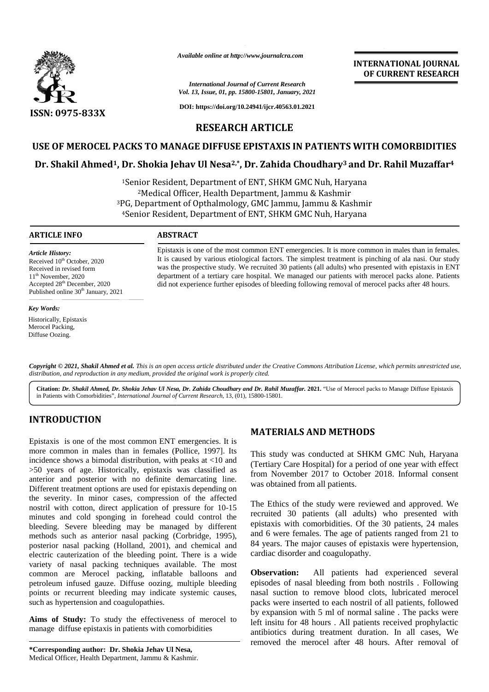

*Available online at http://www.journalcra.com*

# *International Journal of Current Research Vol. 13, Issue, 01, pp. 15800-15801, January, 2021*

**DOI: https://doi.org/10.24941/ijcr.40563.01.2021**

# **INTERNATIONAL JOURNAL OF CURRENT RESEARCH**

**RESEARCH ARTICLE**

# **USE OF MEROCEL PACKS TO MANAGE DIFFUSE EPISTAXIS IN PATIENTS WITH COMORBIDITIES**

# **Dr. Shakil Ahmed1, Dr. Shokia Jehav Ul Nesa2,\*, Dr. Zahida Choudhary<sup>3</sup> and Dr. Rahil Muzaffar<sup>4</sup> WITH COMORBIDITIESNesa3**

<sup>1</sup>Senior Resident, Department of ENT, SHKM GMC Nuh, Haryana <sup>2</sup>Medical Officer, Health Department, Jammu & Kashmir <sup>1</sup>Senior Resident, Department of ENT, SHKM GMC Nuh, Haryana<br><sup>2</sup>Medical Officer, Health Department, Jammu & Kashmir<br><sup>3</sup>PG, Department of Opthalmology, GMC Jammu, Jammu & Kashmir <sup>4</sup>Senior Resident, Department of ENT, SHKM GMC Nuh, Haryana

# **ARTICLE INFO ABSTRACT ARTICLE ABSTRACT**

*Article History:* Received 10<sup>th</sup> October, 2020 Received in revised form 11<sup>th</sup> November, 2020 Accepted 28<sup>th</sup> December, 2020 Published online 30<sup>th</sup> January, 2021

#### *Key Words:*

Historically, Epistaxis Merocel Packing, Diffuse Oozing.

Epistaxis is one of the most common ENT emergencies. It is more common in males than in females. It is caused by various etiological factors. The simplest treatment is pinching of ala nasi. Our study was the prospective study. We recruited 30 patients (all adults) who presented with epistaxis in ENT department of a tertiary care hospital. We managed our patients with merocel packs alone. Patients did not experience further episodes of bleeding following removal of merocel packs after 48 hours. Epistaxis is one of the most common ENT emergencies. It is more common in males than in femalt is caused by various etiological factors. The simplest treatment is pinching of ala nasi. Our st was the prospective study. We A vanilable online at http://www.journalcra.com<br>
INTERNATIONAL<br>
International Journal of Current Research<br>
SSN: 0975-833X<br>
DOI: https://do.ks/360-3804.10041.<br>
DOI: https://do.ks/360-3804.10041.<br>
IRSEEARCH ARTICLE<br>
ISE OF M

Copyright © 2021, Shakil Ahmed et al. This is an open access article distributed under the Creative Commons Attribution License, which permits unrestricted use, *distribution, and reproduction in any medium, provided the original work is properly cited. distribution,any*

Citation: Dr. Shakil Ahmed, Dr. Shokia Jehav Ul Nesa, Dr. Zahida Choudhary and Dr. Rahil Muzaffar. 2021. "Use of Merocel packs to Manage Diffuse Epistaxis | in Patients with Comorbidities", *International Journal of Current Research*, 13, (01), 15800-15801.

# **INTRODUCTION INTRODUCTION**

Epistaxis is one of the most common ENT emergencies. It is more common in males than in females (Pollice, 1997). Its Th incidence shows a bimodal distribution, with peaks at <10 and >50 years of age. Historically, epistaxis was classified as anterior and posterior with no definite demarcating line. Different treatment options are used for epistaxis depending on the severity. In minor cases, compression of the affected nostril with cotton, direct application of pressure for 10-15 minutes and cold sponging in forehead could control the bleeding. Severe bleeding may be managed by different methods such as anterior nasal packing (Corbridge, 1995), posterior nasal packing (Holland, 2001), and chemical and electric cauterization of the bleeding point. There is a wide variety of nasal packing techniques available. The most common are Merocel packing, inflatable balloons and **Observation:** petroleum infused gauze. Diffuse oozing, multiple bleeding points or recurrent bleeding may indicate systemic causes, such as hypertension and coagulopathies. Epistaxis is one of the most common ENT emergencies. It is<br>more common in males than in females (Pollice, 1997). Its<br>incidence shows a bimodal distribution, with peaks at <10 and<br>>50 years of age. Historically, epistaxis w Different treatment options are used for epistaxis depending on<br>the severity. In minor cases, compression of the affected<br>nostril with cotton, direct application of pressure for 10-15<br>minutes and cold sponging in forehead methods such as anterior nasal packing (Corbridge, 1995), posterior nasal packing (Holland, 2001), and chemical and electric cauterization of the bleeding point. There is a wide variety of nasal packing techniques availabl Epistaxis is one of the most common ENT emergencies. It is<br>more common in makes than in females (Police, 1997). Its<br>micidence shows a bimodal distribution, with peaks at <10 and (Tertiary Care Hospital) for a period of on For  $\alpha$  48 prophylactical Constraints (1, 30). The state of the *Journal Andre* Constraints during treatment Were the *Journal January (1, 4)* and the *Journal January (1, 4)* and *Journal January (1, 4)* and *D* (1, 2) a **EXERVALLY SEARCH AND TREAD SEARCH AND TREAD SEARCH AND TREAD SEARCH AND TREAD SEARCH ARTICLE ON MANAGE DIFFUSE EPISTAXIS IN PATIENTS WITH COMPRESSION CONTINUES APPLICITE CONTINUES AND ARRIVE TO A RESEARCH ARTICLE ON MANA** 

**Aims of Study:** To study the effectiveness of merocel to Aims of Study: To study the effectiveness of merocel to manage diffuse epistaxis in patients with comorbidities

# **MATERIALS AND METHODS**

This study was conducted at SHKM GMC Nuh, Haryana This (Tertiary Care Hospital) for a period of one year with effect from November 2017 to October 2018. Informal consent was obtained from all patients.

The Ethics of the study were reviewed and approved. We recruited 30 patients (all adults) who presented with epistaxis with comorbidities. Of the 30 patients, 24 males and 6 were females. The age of patients ranged from 21 to 84 years. The major causes of epistaxis were hypertension, cardiac disorder and coagulopathy.

All patients had experienced several episodes of nasal bleeding from both nostrils . Following nasal suction to remove blood clots, lubricated merocel packs were inserted to each nostril of all patients, followed by expansion with 5 ml of normal saline . The packs were left insitu for 48 hours . All patients received prophylactic antibiotics during treatment duration. In all cases, We removed the merocel after 48 hours. After removal of epistaxis with comorbidities. Of the 30 patients, 24 males<br>and 6 were females. The age of patients ranged from 21 to<br>84 years. The major causes of epistaxis were hypertension,<br>cardiac disorder and coagulopathy.<br>**Observatio**